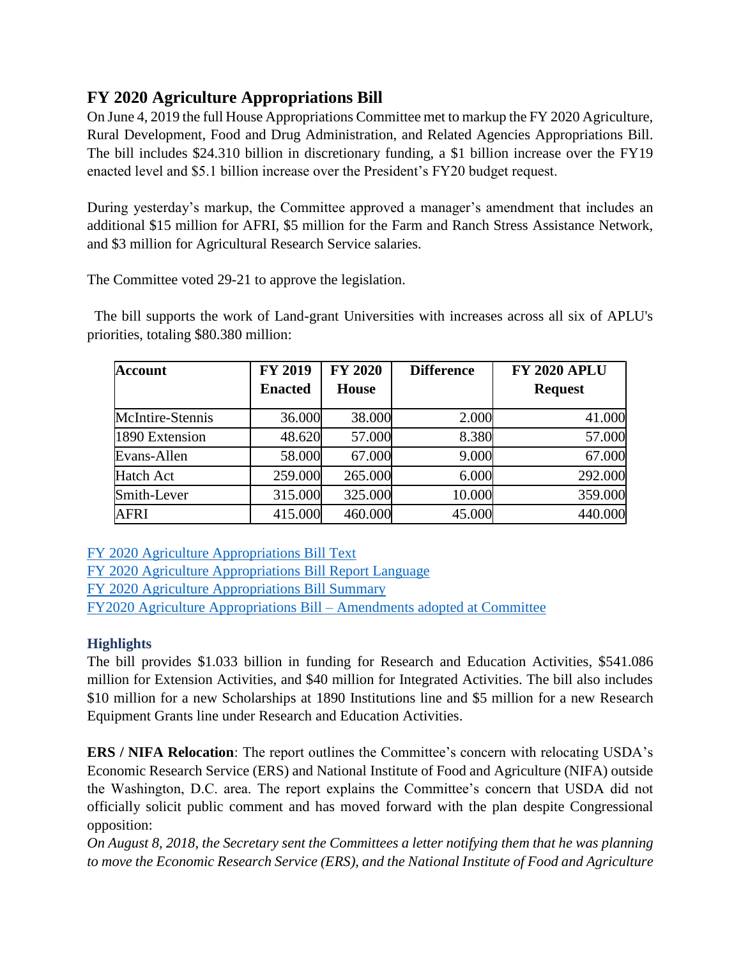# **FY 2020 Agriculture Appropriations Bill**

On June 4, 2019 the full House Appropriations Committee met to markup the FY 2020 Agriculture, Rural Development, Food and Drug Administration, and Related Agencies Appropriations Bill. The bill includes \$24.310 billion in discretionary funding, a \$1 billion increase over the FY19 enacted level and \$5.1 billion increase over the President's FY20 budget request.

During yesterday's markup, the Committee approved a manager's amendment that includes an additional \$15 million for AFRI, \$5 million for the Farm and Ranch Stress Assistance Network, and \$3 million for Agricultural Research Service salaries.

The Committee voted 29-21 to approve the legislation.

 The bill supports the work of Land-grant Universities with increases across all six of APLU's priorities, totaling \$80.380 million:

| <b>Account</b>   | <b>FY 2019</b> | <b>FY 2020</b> | <b>Difference</b> | <b>FY 2020 APLU</b> |
|------------------|----------------|----------------|-------------------|---------------------|
|                  | <b>Enacted</b> | <b>House</b>   |                   | <b>Request</b>      |
| McIntire-Stennis | 36.000         | 38.000         | 2.000             | 41.000              |
| 1890 Extension   | 48.620         | 57.000         | 8.380             | 57.000              |
| Evans-Allen      | 58.000         | 67.000         | 9.000             | 67.000              |
| Hatch Act        | 259.000        | 265.000        | 6.000             | 292.000             |
| Smith-Lever      | 315.000        | 325.000        | 10.000            | 359.000             |
| <b>AFRI</b>      | 415.000        | 460.000        | 45.000            | 440.000             |

[FY 2020 Agriculture Appropriations Bill Text](http://r20.rs6.net/tn.jsp?f=001xmMxwDx5pkgoYHc8MBsP9LkLxG7Y5MGWggX4UzsexUdwKFf18DcRrBGvTBO_HtPrG0JIuOA3jNUI2aT6AWeUNawTq1TCQJll1Z1gISfEwT8U5N3qgDxnj3-Xe0--pkm6zJTHlrL_34VDUUmD1p6Gy7eGkZ3B8iCH_7nDymkDAjE8xWQ-bCqgFhuITFs-nviAw4WCj_hsW6AKzj3oc_9FwbcKpAA7nkgaF5hPBZz_z0diBZmg6rBZScv6IK2TSvgrbZhOQOynRlYasjV7cD-fln05Rqqnu85dk1zD0IaZx1ekBXA9Gi3ThMUkpdl0PlyW&c=BV0WAnsjaPXo22F9ZGBva869bQ7kSQSmqvdXVhV3aqg2zo2_r6JuyA==&ch=ZIys0nNl5425GnpeQ_qDZ9amGE-HM8DDPtjud3vFKJKgSJW5q5f7ww==)

[FY 2020 Agriculture Appropriations Bill Report Language](http://r20.rs6.net/tn.jsp?f=001xmMxwDx5pkgoYHc8MBsP9LkLxG7Y5MGWggX4UzsexUdwKFf18DcRrFa4OCXQb14Cef7Fep9jzazurBHeamBuU9BgiMh-9Pb3e5QFO39hLg_zHy1sdzC2rnv70M0JCaE2vvLQHD0EX6vLyN6KJQlJrM9lP2ukX9Dkz8dxbdNACuSLAHp2YtgXq-WWFMyW7cifLLGWFhN8wEfa3fLx7zC6-pr2mt8pi5fS3KlzVFTkkNApA17QFLQ7_MH9jc_s3BT4KaRwB-4WaYZhdE6NlMojAMfcDWhs_SrkmK1MTLmLi9sfjpQwq_c6dw==&c=BV0WAnsjaPXo22F9ZGBva869bQ7kSQSmqvdXVhV3aqg2zo2_r6JuyA==&ch=ZIys0nNl5425GnpeQ_qDZ9amGE-HM8DDPtjud3vFKJKgSJW5q5f7ww==) [FY 2020 Agriculture Appropriations Bill Summary](https://appropriations.house.gov/news/press-releases/appropriations-committee-releases-fiscal-year-2020-agriculture-rural-development?fbclid=IwAR1BupazcPfXMWOzv4n0_6rkEu5r-34lHwoh5HVDVlYjzzL3AMenaoJyYDM) [FY2020 Agriculture Appropriations Bill –](https://docs.house.gov/meetings/AP/AP00/20190604/109590/HMKP-116-AP00-20190604-SD006.pdf) Amendments adopted at Committee

# **Highlights**

The bill provides \$1.033 billion in funding for Research and Education Activities, \$541.086 million for Extension Activities, and \$40 million for Integrated Activities. The bill also includes \$10 million for a new Scholarships at 1890 Institutions line and \$5 million for a new Research Equipment Grants line under Research and Education Activities.

**ERS / NIFA Relocation**: The report outlines the Committee's concern with relocating USDA's Economic Research Service (ERS) and National Institute of Food and Agriculture (NIFA) outside the Washington, D.C. area. The report explains the Committee's concern that USDA did not officially solicit public comment and has moved forward with the plan despite Congressional opposition:

*On August 8, 2018, the Secretary sent the Committees a letter notifying them that he was planning to move the Economic Research Service (ERS), and the National Institute of Food and Agriculture*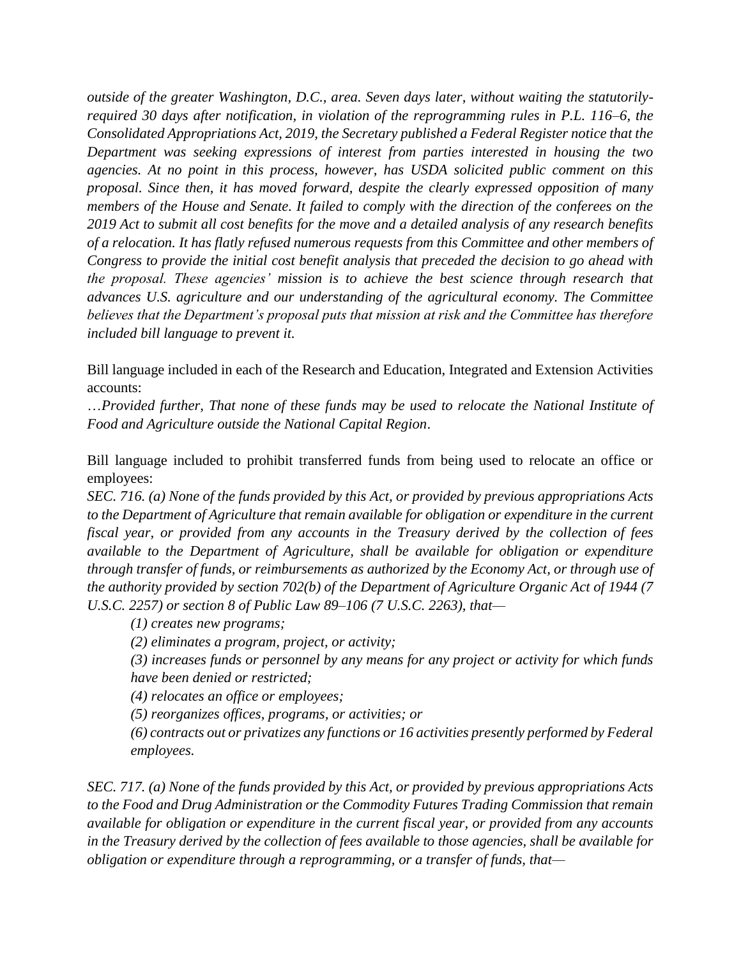*outside of the greater Washington, D.C., area. Seven days later, without waiting the statutorilyrequired 30 days after notification, in violation of the reprogramming rules in P.L. 116–6, the Consolidated Appropriations Act, 2019, the Secretary published a Federal Register notice that the Department was seeking expressions of interest from parties interested in housing the two agencies. At no point in this process, however, has USDA solicited public comment on this proposal. Since then, it has moved forward, despite the clearly expressed opposition of many members of the House and Senate. It failed to comply with the direction of the conferees on the 2019 Act to submit all cost benefits for the move and a detailed analysis of any research benefits of a relocation. It has flatly refused numerous requests from this Committee and other members of Congress to provide the initial cost benefit analysis that preceded the decision to go ahead with the proposal. These agencies' mission is to achieve the best science through research that advances U.S. agriculture and our understanding of the agricultural economy. The Committee believes that the Department's proposal puts that mission at risk and the Committee has therefore included bill language to prevent it.*

Bill language included in each of the Research and Education, Integrated and Extension Activities accounts:

…*Provided further, That none of these funds may be used to relocate the National Institute of Food and Agriculture outside the National Capital Region*.

Bill language included to prohibit transferred funds from being used to relocate an office or employees:

*SEC. 716. (a) None of the funds provided by this Act, or provided by previous appropriations Acts to the Department of Agriculture that remain available for obligation or expenditure in the current fiscal year, or provided from any accounts in the Treasury derived by the collection of fees available to the Department of Agriculture, shall be available for obligation or expenditure through transfer of funds, or reimbursements as authorized by the Economy Act, or through use of the authority provided by section 702(b) of the Department of Agriculture Organic Act of 1944 (7 U.S.C. 2257) or section 8 of Public Law 89–106 (7 U.S.C. 2263), that—*

*(1) creates new programs;* 

*(2) eliminates a program, project, or activity;* 

*(3) increases funds or personnel by any means for any project or activity for which funds have been denied or restricted;* 

*(4) relocates an office or employees;* 

*(5) reorganizes offices, programs, or activities; or*

*(6) contracts out or privatizes any functions or 16 activities presently performed by Federal employees.*

*SEC. 717. (a) None of the funds provided by this Act, or provided by previous appropriations Acts to the Food and Drug Administration or the Commodity Futures Trading Commission that remain available for obligation or expenditure in the current fiscal year, or provided from any accounts in the Treasury derived by the collection of fees available to those agencies, shall be available for obligation or expenditure through a reprogramming, or a transfer of funds, that—*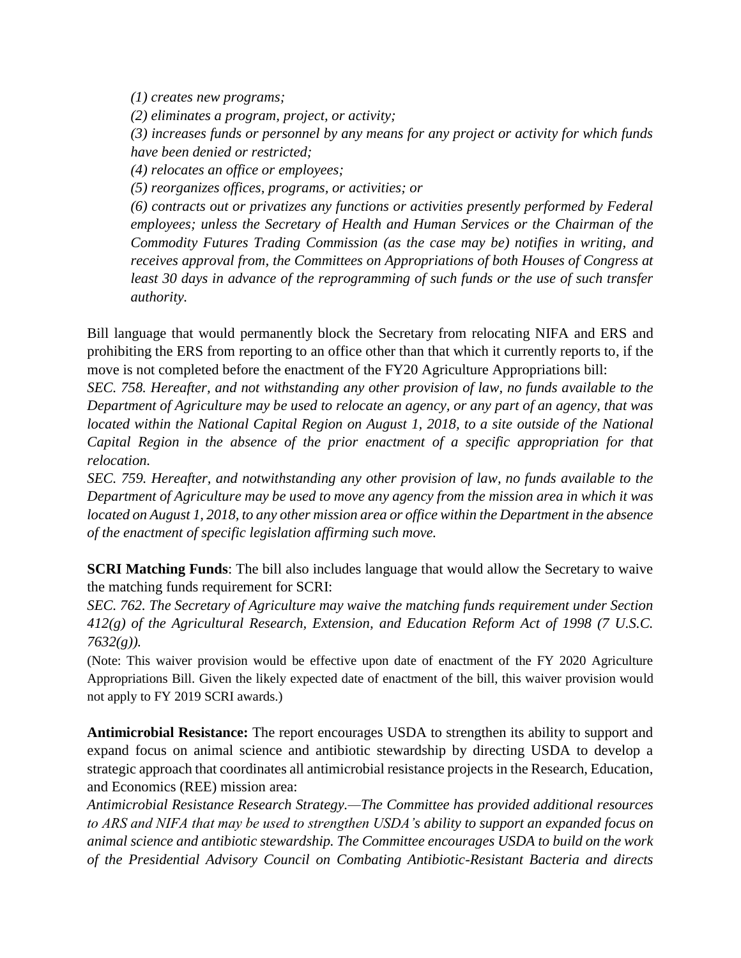*(1) creates new programs;* 

*(2) eliminates a program, project, or activity;* 

*(3) increases funds or personnel by any means for any project or activity for which funds have been denied or restricted;* 

*(4) relocates an office or employees;* 

*(5) reorganizes offices, programs, or activities; or*

*(6) contracts out or privatizes any functions or activities presently performed by Federal employees; unless the Secretary of Health and Human Services or the Chairman of the Commodity Futures Trading Commission (as the case may be) notifies in writing, and receives approval from, the Committees on Appropriations of both Houses of Congress at*  least 30 days in advance of the reprogramming of such funds or the use of such transfer *authority.* 

Bill language that would permanently block the Secretary from relocating NIFA and ERS and prohibiting the ERS from reporting to an office other than that which it currently reports to, if the move is not completed before the enactment of the FY20 Agriculture Appropriations bill:

*SEC. 758. Hereafter, and not withstanding any other provision of law, no funds available to the Department of Agriculture may be used to relocate an agency, or any part of an agency, that was located within the National Capital Region on August 1, 2018, to a site outside of the National Capital Region in the absence of the prior enactment of a specific appropriation for that relocation.*

*SEC. 759. Hereafter, and notwithstanding any other provision of law, no funds available to the Department of Agriculture may be used to move any agency from the mission area in which it was located on August 1, 2018, to any other mission area or office within the Department in the absence of the enactment of specific legislation affirming such move.*

**SCRI Matching Funds**: The bill also includes language that would allow the Secretary to waive the matching funds requirement for SCRI:

*SEC. 762. The Secretary of Agriculture may waive the matching funds requirement under Section 412(g) of the Agricultural Research, Extension, and Education Reform Act of 1998 (7 U.S.C. 7632(g)).*

(Note: This waiver provision would be effective upon date of enactment of the FY 2020 Agriculture Appropriations Bill. Given the likely expected date of enactment of the bill, this waiver provision would not apply to FY 2019 SCRI awards.)

**Antimicrobial Resistance:** The report encourages USDA to strengthen its ability to support and expand focus on animal science and antibiotic stewardship by directing USDA to develop a strategic approach that coordinates all antimicrobial resistance projects in the Research, Education, and Economics (REE) mission area:

*Antimicrobial Resistance Research Strategy.—The Committee has provided additional resources to ARS and NIFA that may be used to strengthen USDA's ability to support an expanded focus on animal science and antibiotic stewardship. The Committee encourages USDA to build on the work of the Presidential Advisory Council on Combating Antibiotic-Resistant Bacteria and directs*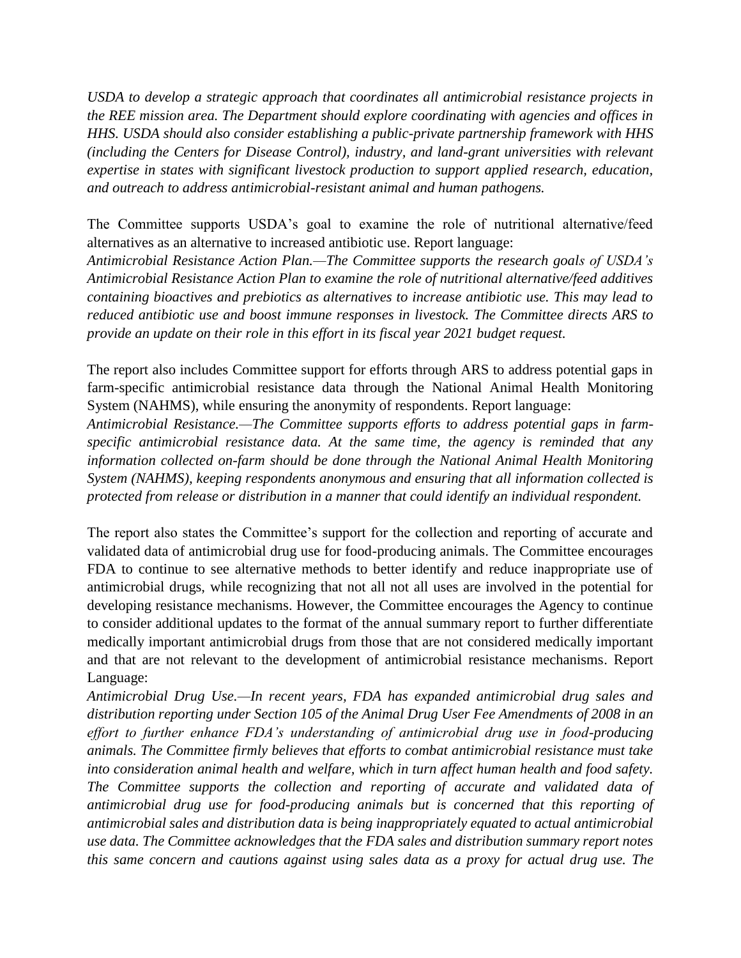*USDA to develop a strategic approach that coordinates all antimicrobial resistance projects in the REE mission area. The Department should explore coordinating with agencies and offices in HHS. USDA should also consider establishing a public-private partnership framework with HHS (including the Centers for Disease Control), industry, and land-grant universities with relevant expertise in states with significant livestock production to support applied research, education, and outreach to address antimicrobial-resistant animal and human pathogens.*

The Committee supports USDA's goal to examine the role of nutritional alternative/feed alternatives as an alternative to increased antibiotic use. Report language:

*Antimicrobial Resistance Action Plan.—The Committee supports the research goals of USDA's Antimicrobial Resistance Action Plan to examine the role of nutritional alternative/feed additives containing bioactives and prebiotics as alternatives to increase antibiotic use. This may lead to reduced antibiotic use and boost immune responses in livestock. The Committee directs ARS to provide an update on their role in this effort in its fiscal year 2021 budget request.*

The report also includes Committee support for efforts through ARS to address potential gaps in farm-specific antimicrobial resistance data through the National Animal Health Monitoring System (NAHMS), while ensuring the anonymity of respondents. Report language:

*Antimicrobial Resistance.—The Committee supports efforts to address potential gaps in farmspecific antimicrobial resistance data. At the same time, the agency is reminded that any information collected on-farm should be done through the National Animal Health Monitoring System (NAHMS), keeping respondents anonymous and ensuring that all information collected is protected from release or distribution in a manner that could identify an individual respondent.*

The report also states the Committee's support for the collection and reporting of accurate and validated data of antimicrobial drug use for food-producing animals. The Committee encourages FDA to continue to see alternative methods to better identify and reduce inappropriate use of antimicrobial drugs, while recognizing that not all not all uses are involved in the potential for developing resistance mechanisms. However, the Committee encourages the Agency to continue to consider additional updates to the format of the annual summary report to further differentiate medically important antimicrobial drugs from those that are not considered medically important and that are not relevant to the development of antimicrobial resistance mechanisms. Report Language:

*Antimicrobial Drug Use.—In recent years, FDA has expanded antimicrobial drug sales and distribution reporting under Section 105 of the Animal Drug User Fee Amendments of 2008 in an effort to further enhance FDA's understanding of antimicrobial drug use in food-producing animals. The Committee firmly believes that efforts to combat antimicrobial resistance must take into consideration animal health and welfare, which in turn affect human health and food safety. The Committee supports the collection and reporting of accurate and validated data of antimicrobial drug use for food-producing animals but is concerned that this reporting of antimicrobial sales and distribution data is being inappropriately equated to actual antimicrobial use data. The Committee acknowledges that the FDA sales and distribution summary report notes this same concern and cautions against using sales data as a proxy for actual drug use. The*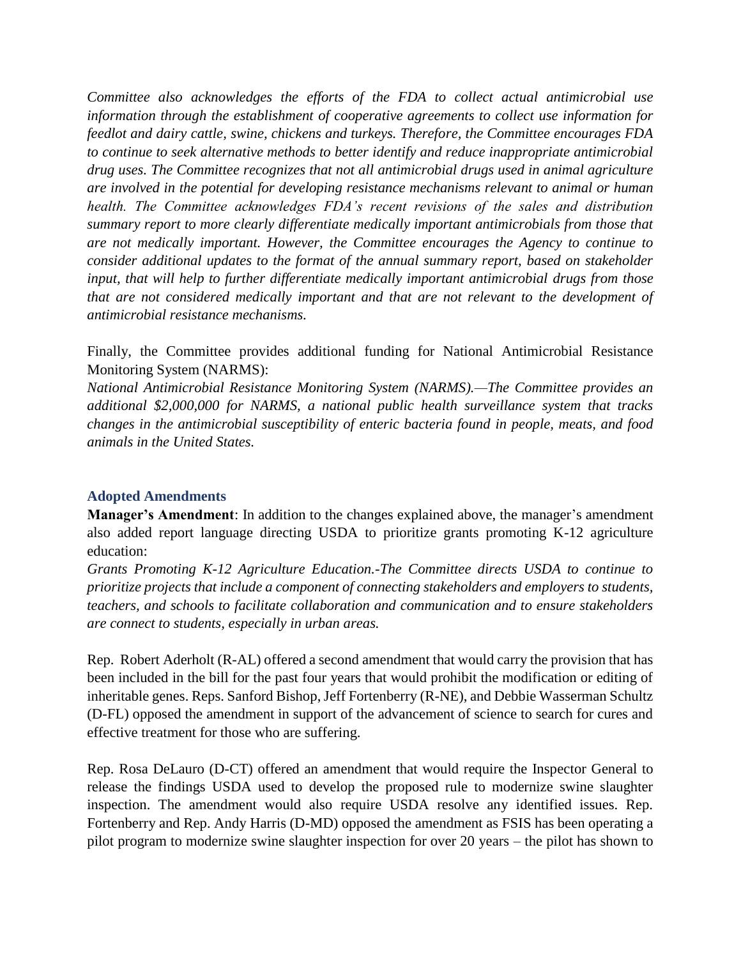*Committee also acknowledges the efforts of the FDA to collect actual antimicrobial use information through the establishment of cooperative agreements to collect use information for feedlot and dairy cattle, swine, chickens and turkeys. Therefore, the Committee encourages FDA to continue to seek alternative methods to better identify and reduce inappropriate antimicrobial drug uses. The Committee recognizes that not all antimicrobial drugs used in animal agriculture are involved in the potential for developing resistance mechanisms relevant to animal or human health. The Committee acknowledges FDA's recent revisions of the sales and distribution summary report to more clearly differentiate medically important antimicrobials from those that are not medically important. However, the Committee encourages the Agency to continue to consider additional updates to the format of the annual summary report, based on stakeholder input, that will help to further differentiate medically important antimicrobial drugs from those that are not considered medically important and that are not relevant to the development of antimicrobial resistance mechanisms.* 

Finally, the Committee provides additional funding for National Antimicrobial Resistance Monitoring System (NARMS):

*National Antimicrobial Resistance Monitoring System (NARMS).—The Committee provides an additional \$2,000,000 for NARMS, a national public health surveillance system that tracks changes in the antimicrobial susceptibility of enteric bacteria found in people, meats, and food animals in the United States.*

#### **Adopted Amendments**

**Manager's Amendment**: In addition to the changes explained above, the manager's amendment also added report language directing USDA to prioritize grants promoting K-12 agriculture education:

*Grants Promoting K-12 Agriculture Education.-The Committee directs USDA to continue to prioritize projects that include a component of connecting stakeholders and employers to students, teachers, and schools to facilitate collaboration and communication and to ensure stakeholders are connect to students, especially in urban areas.* 

Rep. Robert Aderholt (R-AL) offered a second amendment that would carry the provision that has been included in the bill for the past four years that would prohibit the modification or editing of inheritable genes. Reps. Sanford Bishop, Jeff Fortenberry (R-NE), and Debbie Wasserman Schultz (D-FL) opposed the amendment in support of the advancement of science to search for cures and effective treatment for those who are suffering.

Rep. Rosa DeLauro (D-CT) offered an amendment that would require the Inspector General to release the findings USDA used to develop the proposed rule to modernize swine slaughter inspection. The amendment would also require USDA resolve any identified issues. Rep. Fortenberry and Rep. Andy Harris (D-MD) opposed the amendment as FSIS has been operating a pilot program to modernize swine slaughter inspection for over 20 years – the pilot has shown to